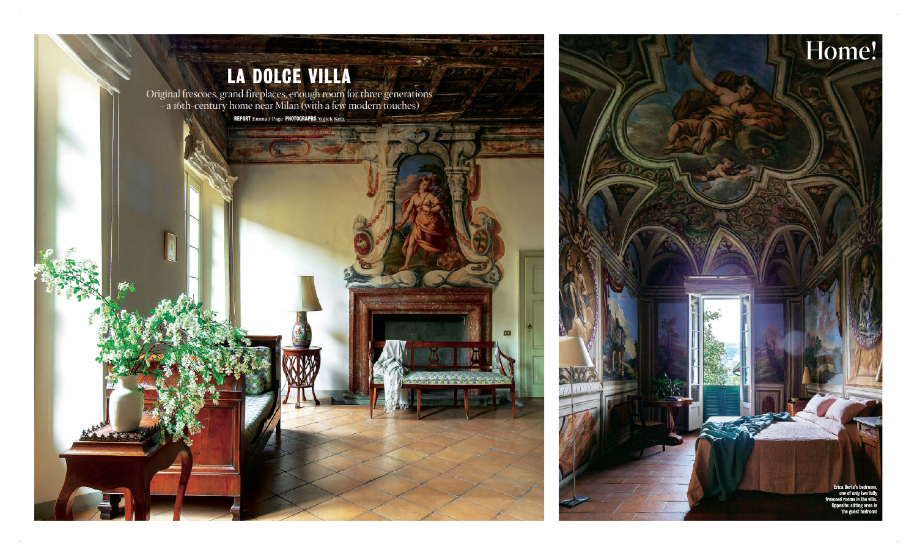

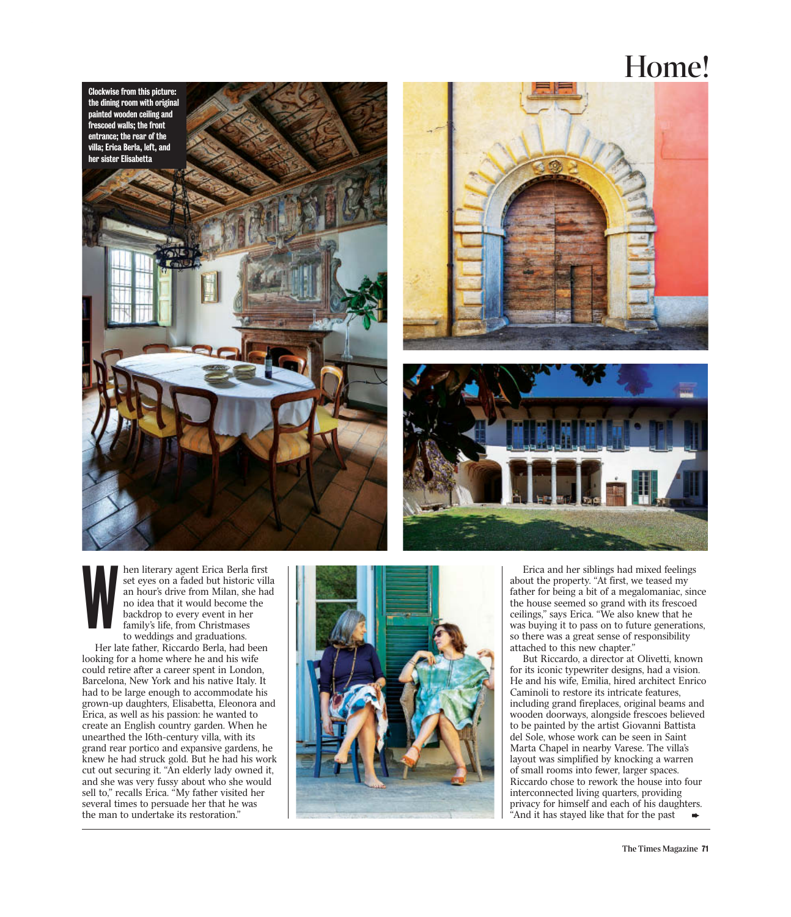## Home!







hen literary agent Erica Berla first set eyes on a faded but historic villa an hour's drive from Milan, she had no idea that it would become the backdrop to every event in her family's life, from Christmases to weddings and graduations. Her late father, Riccardo Berla, had been looking for a home where he and his wife could retire after a career spent in London, Barcelona, New York and his native Italy. It had to be large enough to accommodate his grown-up daughters, Elisabetta, Eleonora and Erica, as well as his passion: he wanted to create an English country garden. When he unearthed the 16th-century villa, with its grand rear portico and expansive gardens, he knew he had struck gold. But he had his work cut out securing it. "An elderly lady owned it, and she was very fussy about who she would sell to," recalls Erica. "My father visited her several times to persuade her that he was the man to undertake its restoration." W



Erica and her siblings had mixed feelings about the property. "At first, we teased my father for being a bit of a megalomaniac, since the house seemed so grand with its frescoed ceilings," says Erica. "We also knew that he was buying it to pass on to future generations, so there was a great sense of responsibility attached to this new chapter."

But Riccardo, a director at Olivetti, known for its iconic typewriter designs, had a vision. He and his wife, Emilia, hired architect Enrico Caminoli to restore its intricate features, including grand fireplaces, original beams and wooden doorways, alongside frescoes believed to be painted by the artist Giovanni Battista del Sole, whose work can be seen in Saint Marta Chapel in nearby Varese. The villa's layout was simplified by knocking a warren of small rooms into fewer, larger spaces. Riccardo chose to rework the house into four interconnected living quarters, providing privacy for himself and each of his daughters. "And it has stayed like that for the past